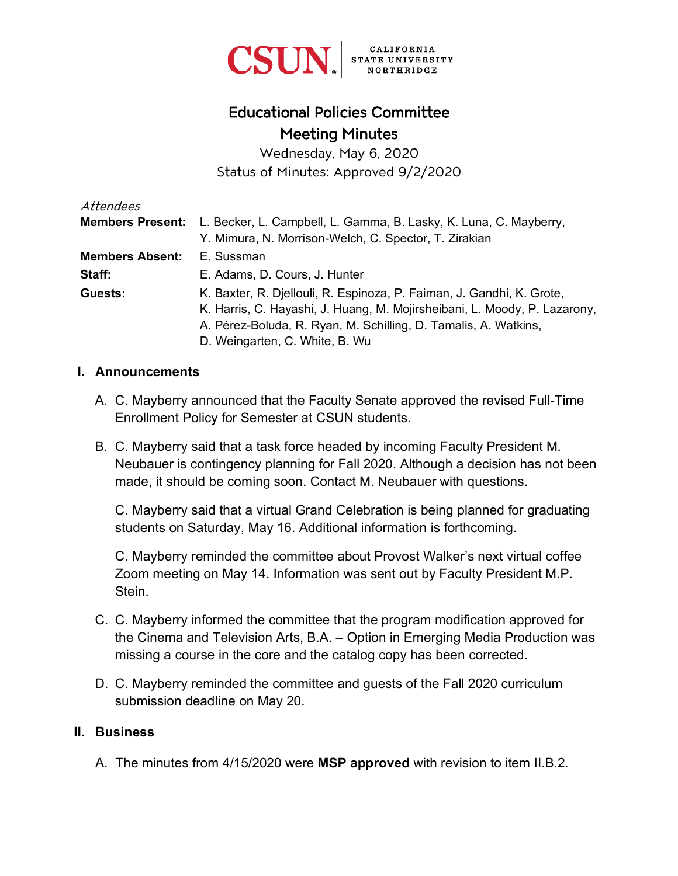

# Educational Policies Committee Meeting Minutes

Wednesday, May 6, 2020 Status of Minutes: Approved 9/2/2020

| Attendees               |                                                                           |
|-------------------------|---------------------------------------------------------------------------|
| <b>Members Present:</b> | L. Becker, L. Campbell, L. Gamma, B. Lasky, K. Luna, C. Mayberry,         |
|                         | Y. Mimura, N. Morrison-Welch, C. Spector, T. Zirakian                     |
| <b>Members Absent:</b>  | E. Sussman                                                                |
| Staff:                  | E. Adams, D. Cours, J. Hunter                                             |
| Guests:                 | K. Baxter, R. Djellouli, R. Espinoza, P. Faiman, J. Gandhi, K. Grote,     |
|                         | K. Harris, C. Hayashi, J. Huang, M. Mojirsheibani, L. Moody, P. Lazarony, |
|                         | A. Pérez-Boluda, R. Ryan, M. Schilling, D. Tamalis, A. Watkins,           |
|                         | D. Weingarten, C. White, B. Wu                                            |

#### **I. Announcements**

- A. C. Mayberry announced that the Faculty Senate approved the revised Full-Time Enrollment Policy for Semester at CSUN students.
- B. C. Mayberry said that a task force headed by incoming Faculty President M. Neubauer is contingency planning for Fall 2020. Although a decision has not been made, it should be coming soon. Contact M. Neubauer with questions.

C. Mayberry said that a virtual Grand Celebration is being planned for graduating students on Saturday, May 16. Additional information is forthcoming.

C. Mayberry reminded the committee about Provost Walker's next virtual coffee Zoom meeting on May 14. Information was sent out by Faculty President M.P. Stein.

- C. C. Mayberry informed the committee that the program modification approved for the Cinema and Television Arts, B.A. – Option in Emerging Media Production was missing a course in the core and the catalog copy has been corrected.
- D. C. Mayberry reminded the committee and guests of the Fall 2020 curriculum submission deadline on May 20.

#### **II. Business**

A. The minutes from 4/15/2020 were **MSP approved** with revision to item II.B.2.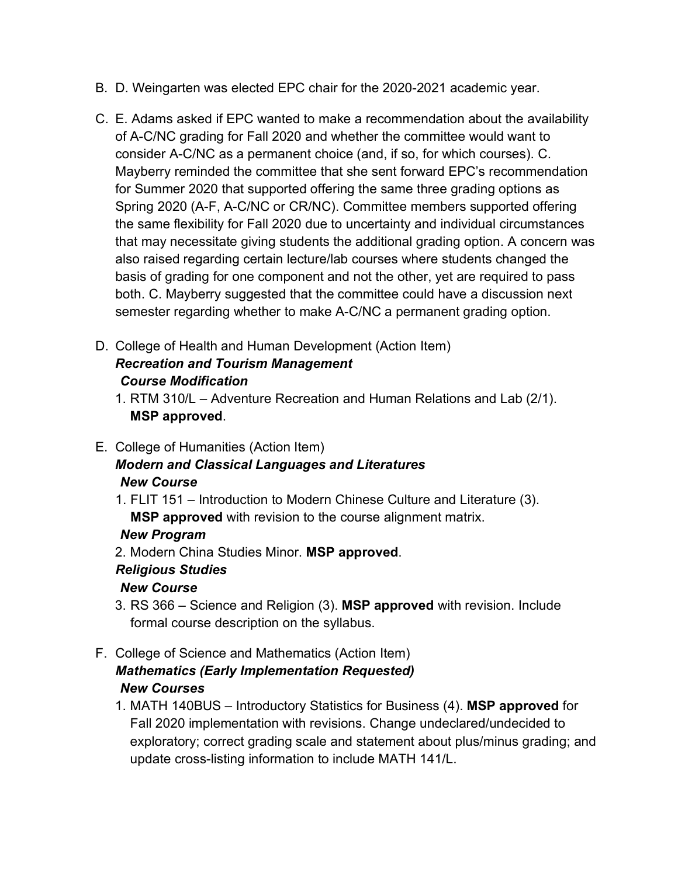- B. D. Weingarten was elected EPC chair for the 2020-2021 academic year.
- C. E. Adams asked if EPC wanted to make a recommendation about the availability of A-C/NC grading for Fall 2020 and whether the committee would want to consider A-C/NC as a permanent choice (and, if so, for which courses). C. Mayberry reminded the committee that she sent forward EPC's recommendation for Summer 2020 that supported offering the same three grading options as Spring 2020 (A-F, A-C/NC or CR/NC). Committee members supported offering the same flexibility for Fall 2020 due to uncertainty and individual circumstances that may necessitate giving students the additional grading option. A concern was also raised regarding certain lecture/lab courses where students changed the basis of grading for one component and not the other, yet are required to pass both. C. Mayberry suggested that the committee could have a discussion next semester regarding whether to make A-C/NC a permanent grading option.
- D. College of Health and Human Development (Action Item) *Recreation and Tourism Management Course Modification*
	- 1. RTM 310/L Adventure Recreation and Human Relations and Lab (2/1). **MSP approved**.
- E. College of Humanities (Action Item) *Modern and Classical Languages and Literatures New Course*
	- 1. FLIT 151 Introduction to Modern Chinese Culture and Literature (3). **MSP approved** with revision to the course alignment matrix.

### *New Program*

2. Modern China Studies Minor. **MSP approved**.

# *Religious Studies*

# *New Course*

- 3. RS 366 Science and Religion (3). **MSP approved** with revision. Include formal course description on the syllabus.
- F. College of Science and Mathematics (Action Item) *Mathematics (Early Implementation Requested) New Courses* 
	- 1. MATH 140BUS Introductory Statistics for Business (4). **MSP approved** for Fall 2020 implementation with revisions. Change undeclared/undecided to exploratory; correct grading scale and statement about plus/minus grading; and update cross-listing information to include MATH 141/L.